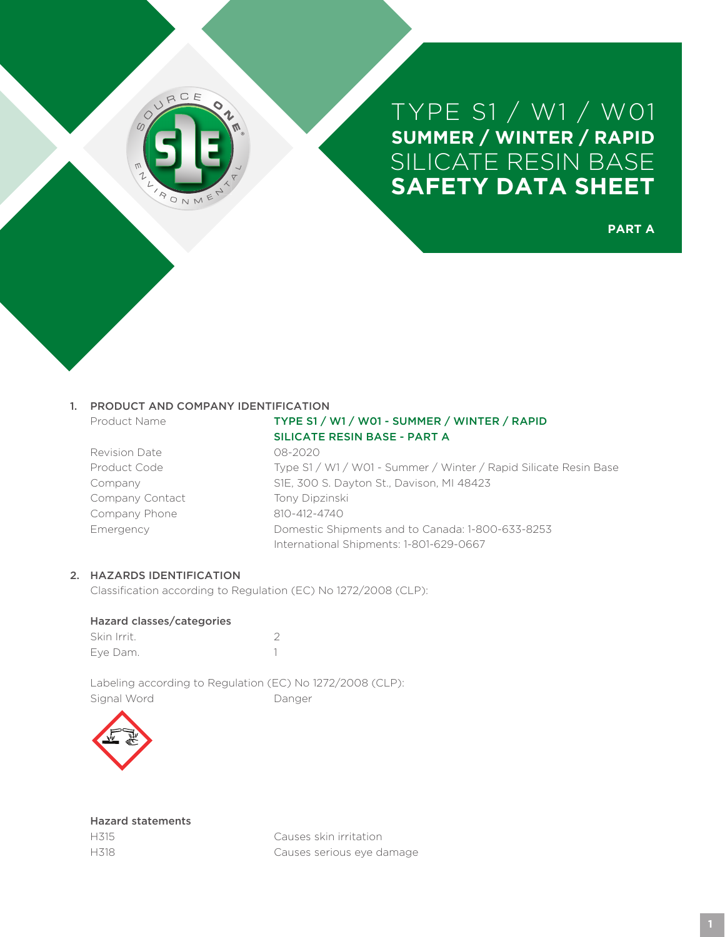

**PART A**

#### 1. PRODUCT AND COMPANY IDENTIFICATION

- 
- Revision Date 08-2020 Company Contact Tony Dipzinski Company Phone 810-412-4740

# Product Name TYPE S1 / W1 / W01 - SUMMER / WINTER / RAPID SILICATE RESIN BASE - PART A

Product Code Type S1 / W1 / W01 - Summer / Winter / Rapid Silicate Resin Base Company S1E, 300 S. Dayton St., Davison, MI 48423 Emergency Domestic Shipments and to Canada: 1-800-633-8253 International Shipments: 1-801-629-0667

# 2. HAZARDS IDENTIFICATION

Classification according to Regulation (EC) No 1272/2008 (CLP):

#### Hazard classes/categories

| Skin Irrit. |  |
|-------------|--|
| Eve Dam.    |  |

Labeling according to Regulation (EC) No 1272/2008 (CLP): Signal Word Danger



|      | <b>Hazard statements</b> |
|------|--------------------------|
| H315 |                          |
| H318 |                          |

Causes skin irritation Causes serious eye damage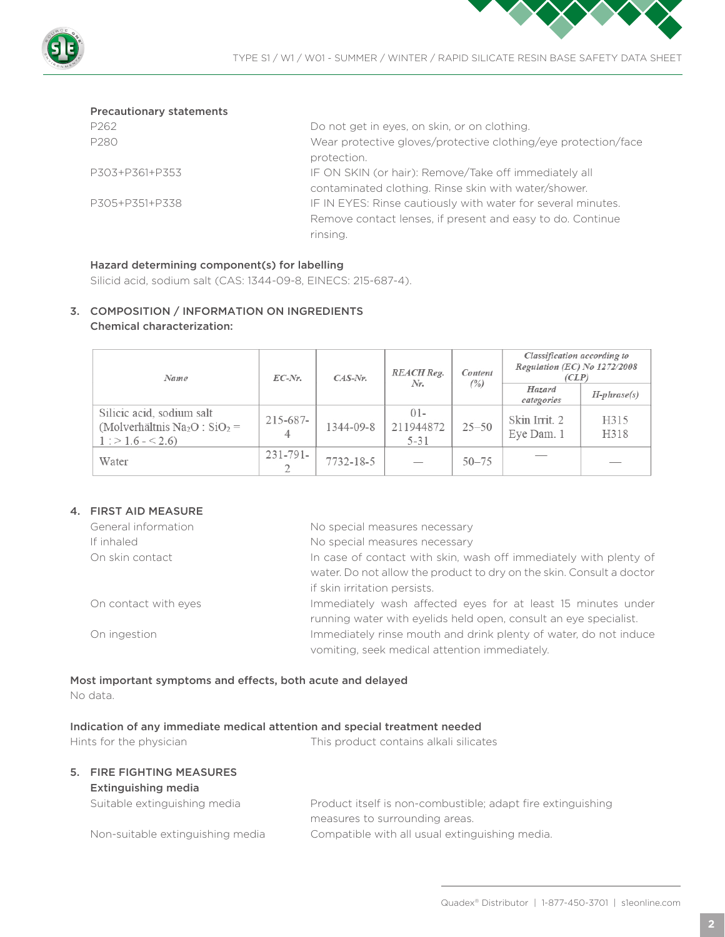



#### Precautionary statements

| P <sub>262</sub> | Do not get in eyes, on skin, or on clothing.                   |
|------------------|----------------------------------------------------------------|
| P280             | Wear protective gloves/protective clothing/eye protection/face |
|                  | protection.                                                    |
| P303+P361+P353   | IF ON SKIN (or hair): Remove/Take off immediately all          |
|                  | contaminated clothing. Rinse skin with water/shower.           |
| P305+P351+P338   | IF IN EYES: Rinse cautiously with water for several minutes.   |
|                  | Remove contact lenses, if present and easy to do. Continue     |
|                  | rinsing.                                                       |

#### Hazard determining component(s) for labelling

Silicid acid, sodium salt (CAS: 1344-09-8, EINECS: 215-687-4).

# 3. COMPOSITION / INFORMATION ON INGREDIENTS Chemical characterization:

| Name                                                                                                      | $EC-Nr$ .          | $CAS-Nr.$ | <b>REACH</b> Reg.<br>Nr.        | Content   | Classification according to<br>Regulation (EC) No $1272/2008$<br>(CLP) |                   |
|-----------------------------------------------------------------------------------------------------------|--------------------|-----------|---------------------------------|-----------|------------------------------------------------------------------------|-------------------|
|                                                                                                           |                    |           |                                 | (%)       | Hazard<br>categories                                                   | $H$ -phrase $(s)$ |
| Silicic acid, sodium salt<br>(Molverhältnis Na <sub>2</sub> O : SiO <sub>2</sub> =<br>$1:$ > 1.6 - < 2.6) | $215 - 687 -$<br>4 | 1344-09-8 | $01 -$<br>211944872<br>$5 - 31$ | $25 - 50$ | Skin Irrit. 2<br>Eye Dam. 1                                            | H315<br>H318      |
| Water                                                                                                     | $231 - 791 -$      | 7732-18-5 |                                 | $50 - 75$ |                                                                        |                   |

# 4. FIRST AID MEASURE

| General information  | No special measures necessary                                        |
|----------------------|----------------------------------------------------------------------|
| If inhaled           | No special measures necessary                                        |
| On skin contact      | In case of contact with skin, wash off immediately with plenty of    |
|                      | water. Do not allow the product to dry on the skin. Consult a doctor |
|                      | if skin irritation persists.                                         |
| On contact with eyes | Immediately wash affected eyes for at least 15 minutes under         |
|                      | running water with eyelids held open, consult an eye specialist.     |
| On ingestion         | Immediately rinse mouth and drink plenty of water, do not induce     |
|                      | vomiting, seek medical attention immediately.                        |

# Most important symptoms and effects, both acute and delayed No data.

#### Indication of any immediate medical attention and special treatment needed

| Hints for the physician |                                                  | This product contains alkali silicates                      |
|-------------------------|--------------------------------------------------|-------------------------------------------------------------|
|                         | 5. FIRE FIGHTING MEASURES<br>Extinguishing media |                                                             |
|                         | Suitable extinguishing media                     | Product itself is non-combustible; adapt fire extinguishing |
|                         |                                                  | measures to surrounding areas.                              |
|                         | Non-suitable extinguishing media                 | Compatible with all usual extinguishing media.              |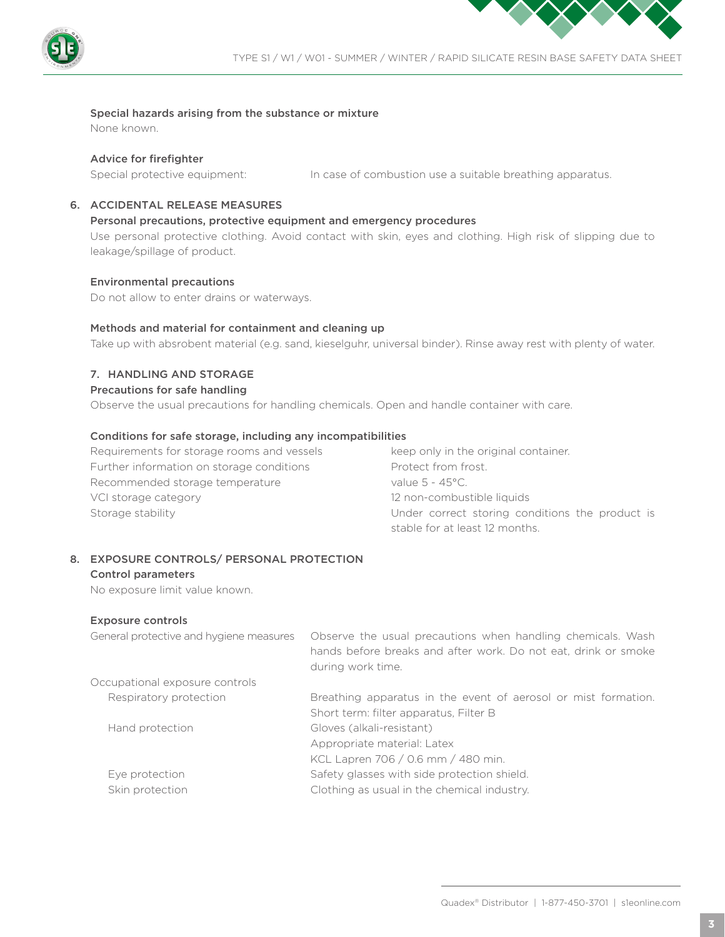

#### Special hazards arising from the substance or mixture

None known.

#### Advice for firefighter

Special protective equipment: In case of combustion use a suitable breathing apparatus.

# 6. ACCIDENTAL RELEASE MEASURES

#### Personal precautions, protective equipment and emergency procedures

Use personal protective clothing. Avoid contact with skin, eyes and clothing. High risk of slipping due to leakage/spillage of product.

#### Environmental precautions

Do not allow to enter drains or waterways.

#### Methods and material for containment and cleaning up

Take up with absrobent material (e.g. sand, kieselguhr, universal binder). Rinse away rest with plenty of water.

#### 7. HANDLING AND STORAGE

#### Precautions for safe handling

Observe the usual precautions for handling chemicals. Open and handle container with care.

#### Conditions for safe storage, including any incompatibilities

Requirements for storage rooms and vessels keep only in the original container. Further information on storage conditions Protect from frost. Recommended storage temperature value 5 - 45°C. VCI storage category **12 non-combustible liquids** 

Storage stability **Storage stability Example 2018** Under correct storing conditions the product is stable for at least 12 months.

#### 8. EXPOSURE CONTROLS/ PERSONAL PROTECTION

#### Control parameters

No exposure limit value known.

#### Exposure controls

| Observe the usual precautions when handling chemicals. Wash<br>hands before breaks and after work. Do not eat, drink or smoke<br>during work time. |
|----------------------------------------------------------------------------------------------------------------------------------------------------|
|                                                                                                                                                    |
| Breathing apparatus in the event of aerosol or mist formation.                                                                                     |
| Short term: filter apparatus, Filter B                                                                                                             |
| Gloves (alkali-resistant)                                                                                                                          |
| Appropriate material: Latex                                                                                                                        |
| KCL Lapren 706 / 0.6 mm / 480 min.                                                                                                                 |
| Safety glasses with side protection shield.                                                                                                        |
| Clothing as usual in the chemical industry.                                                                                                        |
|                                                                                                                                                    |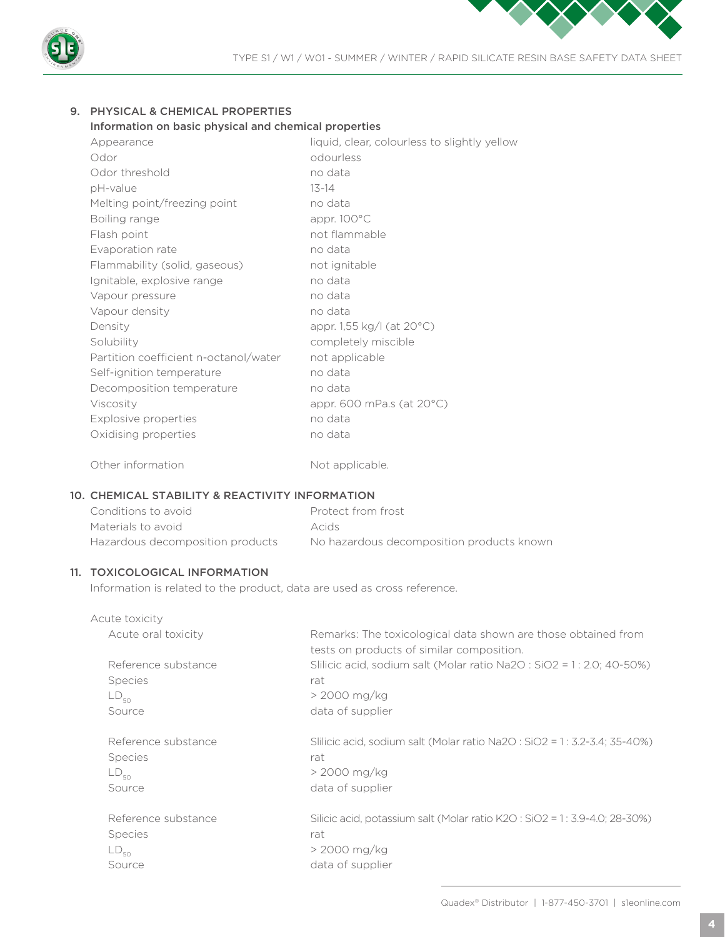

# 9. PHYSICAL & CHEMICAL PROPERTIES

#### Information on basic physical and chemical properties

| Appearance                            | liquid, clear, colourless to slightly yellow |
|---------------------------------------|----------------------------------------------|
| Odor                                  | odourless                                    |
| Odor threshold                        | no data                                      |
| pH-value                              | $13 - 14$                                    |
| Melting point/freezing point          | no data                                      |
| Boiling range                         | appr. 100°C                                  |
| Flash point                           | not flammable                                |
| Evaporation rate                      | no data                                      |
| Flammability (solid, gaseous)         | not ignitable                                |
| Ignitable, explosive range            | no data                                      |
| Vapour pressure                       | no data                                      |
| Vapour density                        | no data                                      |
| Density                               | appr. 1,55 kg/l (at 20°C)                    |
| Solubility                            | completely miscible                          |
| Partition coefficient n-octanol/water | not applicable                               |
| Self-ignition temperature             | no data                                      |
| Decomposition temperature             | no data                                      |
| Viscosity                             | appr. 600 mPa.s (at $20^{\circ}$ C)          |
| Explosive properties                  | no data                                      |
| Oxidising properties                  | no data                                      |
|                                       |                                              |

# 10. CHEMICAL STABILITY & REACTIVITY INFORMATION

Other information Not applicable.

| Conditions to avoid              | Protect from frost                        |
|----------------------------------|-------------------------------------------|
| Materials to avoid               | <b>Acids</b>                              |
| Hazardous decomposition products | No hazardous decomposition products known |

# 11. TOXICOLOGICAL INFORMATION

Information is related to the product, data are used as cross reference.

| Acute toxicity      |                                                                                                            |
|---------------------|------------------------------------------------------------------------------------------------------------|
| Acute oral toxicity | Remarks: The toxicological data shown are those obtained from<br>tests on products of similar composition. |
| Reference substance | Slilicic acid, sodium salt (Molar ratio Na2O : $SiO2 = 1$ : 2.0; 40-50%)                                   |
| <b>Species</b>      | rat                                                                                                        |
| $LD_{50}$           | > 2000 mg/kg                                                                                               |
| Source              | data of supplier                                                                                           |
| Reference substance | Slilicic acid, sodium salt (Molar ratio Na2O : SiO2 = 1 : 3.2-3.4; 35-40%)                                 |
| <b>Species</b>      | rat                                                                                                        |
| $LD_{50}$           | > 2000 mg/kg                                                                                               |
| Source              | data of supplier                                                                                           |
| Reference substance | Silicic acid, potassium salt (Molar ratio K2O : SiO2 = 1 : 3.9-4.0; 28-30%)                                |
| <b>Species</b>      | rat                                                                                                        |
| $LD_{50}$           | > 2000 mg/kg                                                                                               |
| Source              | data of supplier                                                                                           |
|                     |                                                                                                            |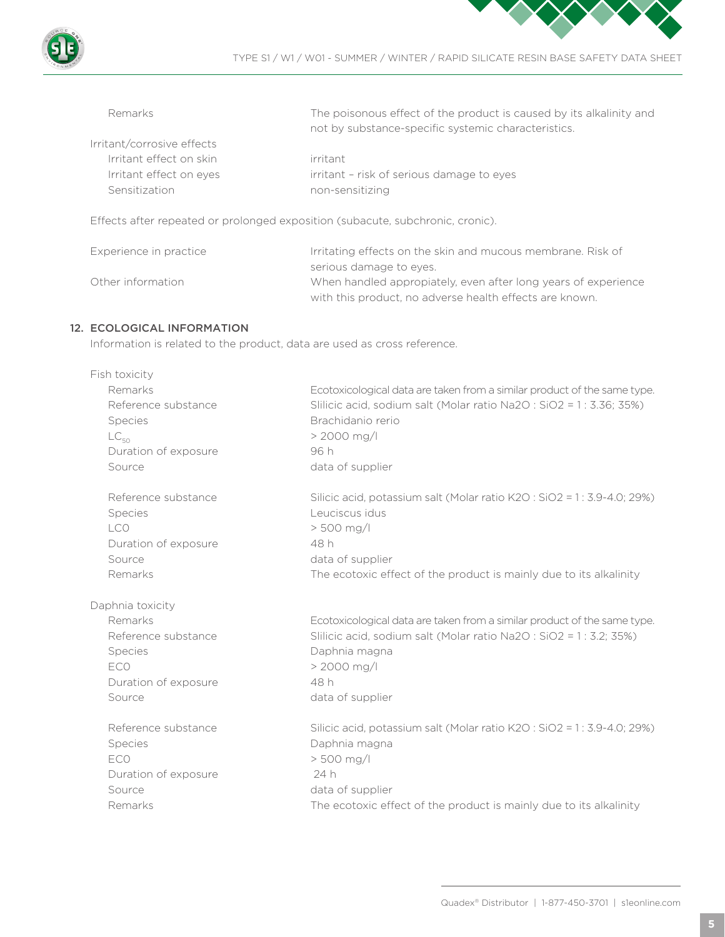



with this product, no adverse health effects are known.

| Remarks                    | The poisonous effect of the product is caused by its alkalinity and<br>not by substance-specific systemic characteristics. |
|----------------------------|----------------------------------------------------------------------------------------------------------------------------|
| Irritant/corrosive effects |                                                                                                                            |
| Irritant effect on skin    | irritant                                                                                                                   |
| Irritant effect on eyes    | irritant - risk of serious damage to eyes                                                                                  |
| Sensitization              | non-sensitizing                                                                                                            |
|                            | Effects after repeated or prolonged exposition (subacute, subchronic, cronic).                                             |
| Experience in practice     | Irritating effects on the skin and mucous membrane. Risk of<br>serious damage to eyes.                                     |

Other information When handled appropiately, even after long years of experience

# 12. ECOLOGICAL INFORMATION

Information is related to the product, data are used as cross reference.

| Fish toxicity        |                                                                          |
|----------------------|--------------------------------------------------------------------------|
| Remarks              | Ecotoxicological data are taken from a similar product of the same type. |
| Reference substance  | Slilicic acid, sodium salt (Molar ratio Na2O: SiO2 = 1: 3.36; 35%)       |
| <b>Species</b>       | Brachidanio rerio                                                        |
| $LC_{50}$            | $> 2000$ mg/l                                                            |
| Duration of exposure | 96 h                                                                     |
| Source               | data of supplier                                                         |
| Reference substance  | Silicic acid, potassium salt (Molar ratio K2O: SiO2 = 1: 3.9-4.0; 29%)   |
| <b>Species</b>       | Leuciscus idus                                                           |
| LCO                  | $> 500$ mg/l                                                             |
| Duration of exposure | 48 h                                                                     |
| Source               | data of supplier                                                         |
| Remarks              | The ecotoxic effect of the product is mainly due to its alkalinity       |
| Daphnia toxicity     |                                                                          |
| Remarks              | Ecotoxicological data are taken from a similar product of the same type. |
| Reference substance  | Slilicic acid, sodium salt (Molar ratio Na2O: SiO2 = 1: 3.2; 35%)        |
| <b>Species</b>       | Daphnia magna                                                            |
| ECO                  | > 2000 mg/l                                                              |
| Duration of exposure | 48 h                                                                     |
| Source               | data of supplier                                                         |
| Reference substance  | Silicic acid, potassium salt (Molar ratio K2O: SiO2 = 1: 3.9-4.0; 29%)   |
| <b>Species</b>       | Daphnia magna                                                            |
| ECO                  | $> 500$ mg/l                                                             |
| Duration of exposure | 24 h                                                                     |
| Source               | data of supplier                                                         |
| Remarks              | The ecotoxic effect of the product is mainly due to its alkalinity       |
|                      |                                                                          |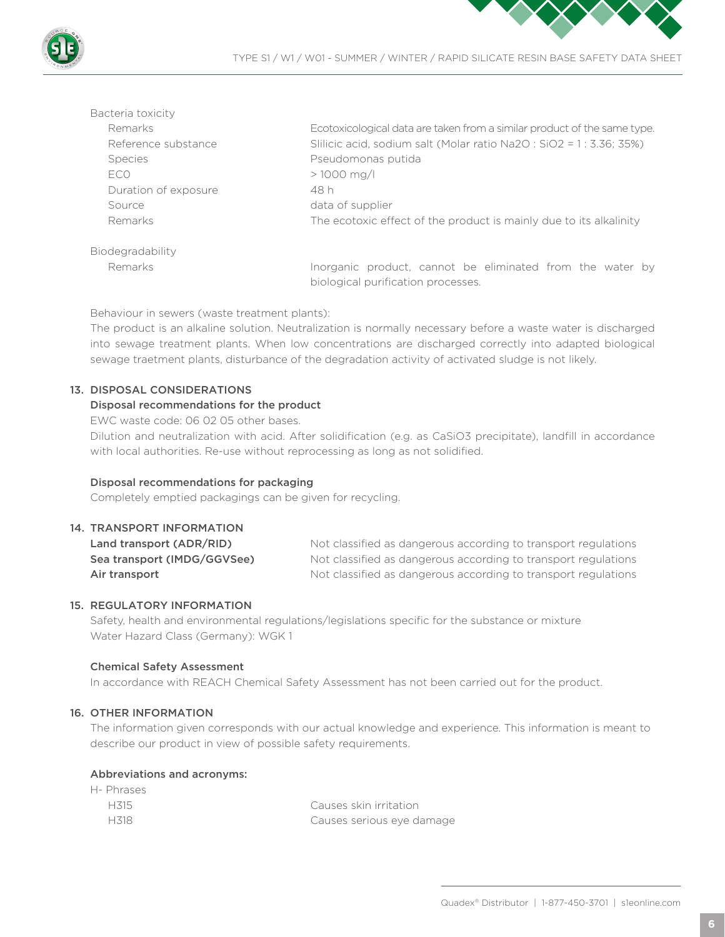



| Bacteria toxicity    |                                                                                                 |
|----------------------|-------------------------------------------------------------------------------------------------|
| Remarks              | Ecotoxicological data are taken from a similar product of the same type.                        |
| Reference substance  | Slilicic acid, sodium salt (Molar ratio Na2O : SiO2 = 1 : 3.36; 35%)                            |
| <b>Species</b>       | Pseudomonas putida                                                                              |
| ECO                  | $> 1000$ mg/l                                                                                   |
| Duration of exposure | 48 h                                                                                            |
| Source               | data of supplier                                                                                |
| Remarks              | The ecotoxic effect of the product is mainly due to its alkalinity                              |
| Biodegradability     |                                                                                                 |
| Remarks              | Inorganic product, cannot be eliminated from the water by<br>biological purification processes. |

Behaviour in sewers (waste treatment plants):

The product is an alkaline solution. Neutralization is normally necessary before a waste water is discharged into sewage treatment plants. When low concentrations are discharged correctly into adapted biological sewage traetment plants, disturbance of the degradation activity of activated sludge is not likely.

# 13. DISPOSAL CONSIDERATIONS

# Disposal recommendations for the product

EWC waste code: 06 02 05 other bases.

Dilution and neutralization with acid. After solidification (e.g. as CaSiO3 precipitate), landfill in accordance with local authorities. Re-use without reprocessing as long as not solidified.

#### Disposal recommendations for packaging

Completely emptied packagings can be given for recycling.

#### 14. TRANSPORT INFORMATION

Land transport (ADR/RID) Not classified as dangerous according to transport regulations Sea transport (IMDG/GGVSee) Not classified as dangerous according to transport regulations Air transport **Not classified as dangerous according to transport regulations** 

# 15. REGULATORY INFORMATION

Safety, health and environmental regulations/legislations specific for the substance or mixture Water Hazard Class (Germany): WGK 1

#### Chemical Safety Assessment

In accordance with REACH Chemical Safety Assessment has not been carried out for the product.

# 16. OTHER INFORMATION

The information given corresponds with our actual knowledge and experience. This information is meant to describe our product in view of possible safety requirements.

#### Abbreviations and acronyms:

| H- Phrases |                           |
|------------|---------------------------|
| H315       | Causes skin irritation    |
| H318       | Causes serious eye damage |